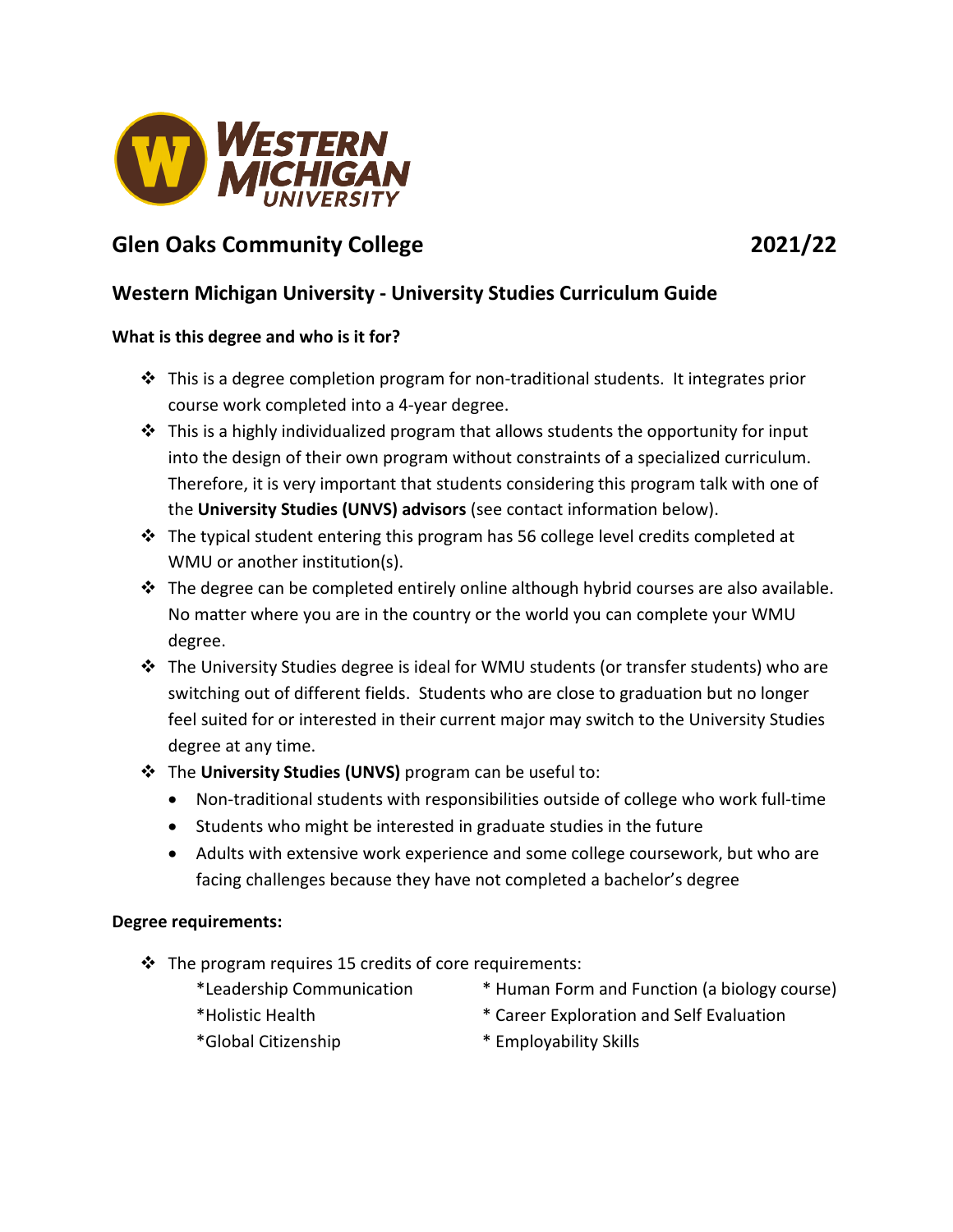

# **Glen Oaks Community College 2021/22**

## **Western Michigan University - University Studies Curriculum Guide**

### **What is this degree and who is it for?**

- $\cdot \cdot$  This is a degree completion program for non-traditional students. It integrates prior course work completed into a 4-year degree.
- $\cdot \cdot$  This is a highly individualized program that allows students the opportunity for input into the design of their own program without constraints of a specialized curriculum. Therefore, it is very important that students considering this program talk with one of the **University Studies (UNVS) advisors** (see contact information below).
- $\cdot \cdot$  The typical student entering this program has 56 college level credits completed at WMU or another institution(s).
- $\div$  The degree can be completed entirely online although hybrid courses are also available. No matter where you are in the country or the world you can complete your WMU degree.
- The University Studies degree is ideal for WMU students (or transfer students) who are switching out of different fields. Students who are close to graduation but no longer feel suited for or interested in their current major may switch to the University Studies degree at any time.
- The **University Studies (UNVS)** program can be useful to:
	- Non-traditional students with responsibilities outside of college who work full-time
	- Students who might be interested in graduate studies in the future
	- Adults with extensive work experience and some college coursework, but who are facing challenges because they have not completed a bachelor's degree

#### **Degree requirements:**

- $\cdot \cdot$  The program requires 15 credits of core requirements:
	-
	- \*Leadership Communication \* Human Form and Function (a biology course)
	- \*Holistic Health \* Career Exploration and Self Evaluation
	-
- 
- \*Global Citizenship \* Employability Skills